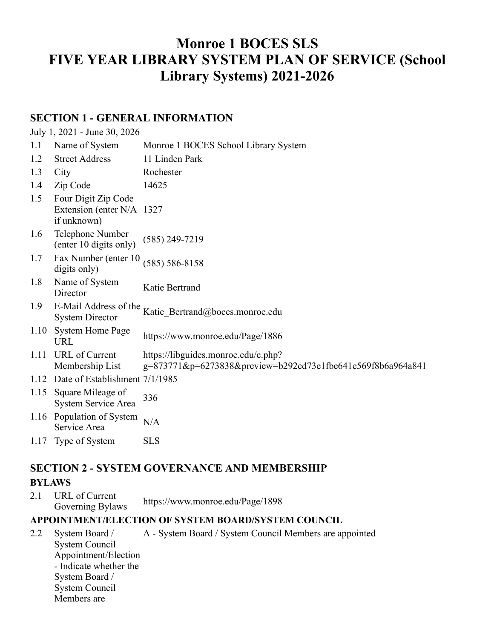# **Monroe 1 BOCES SLS FIVE YEAR LIBRARY SYSTEM PLAN OF SERVICE (School Library Systems) 2021-2026**

# **SECTION 1 - GENERAL INFORMATION**

### July 1, 2021 - June 30, 2026

| 1.1  | Name of System                                                   | Monroe 1 BOCES School Library System                                                               |
|------|------------------------------------------------------------------|----------------------------------------------------------------------------------------------------|
| 1.2  | <b>Street Address</b>                                            | 11 Linden Park                                                                                     |
| 1.3  | City                                                             | Rochester                                                                                          |
| 1.4  | Zip Code                                                         | 14625                                                                                              |
| 1.5  | Four Digit Zip Code<br>Extension (enter N/A 1327)<br>if unknown) |                                                                                                    |
| 1.6  | Telephone Number<br>(enter 10 digits only)                       | $(585)$ 249-7219                                                                                   |
| 1.7  | Fax Number (enter 10<br>digits only)                             | $(585) 586 - 8158$                                                                                 |
| 1.8  | Name of System<br>Director                                       | Katie Bertrand                                                                                     |
| 1.9  | E-Mail Address of the<br><b>System Director</b>                  | Katie Bertrand@boces.monroe.edu                                                                    |
| 1.10 | <b>System Home Page</b><br><b>URL</b>                            | https://www.monroe.edu/Page/1886                                                                   |
| 1.11 | URL of Current<br>Membership List                                | https://libguides.monroe.edu/c.php?<br>g=873771&p=6273838&preview=b292ed73e1fbe641e569f8b6a964a841 |
|      | 1.12 Date of Establishment 7/1/1985                              |                                                                                                    |
| 1.15 | Square Mileage of<br>System Service Area                         | 336                                                                                                |
|      | 1.16 Population of System                                        |                                                                                                    |

- 1.16 Population of System Service Area N/A
- 1.17 Type of System SLS

# **SECTION 2 - SYSTEM GOVERNANCE AND MEMBERSHIP BYLAWS**

2.1 URL of Current Governing Bylaws https://www.monroe.edu/Page/1898

### **APPOINTMENT/ELECTION OF SYSTEM BOARD/SYSTEM COUNCIL**

2.2 System Board / System Council Appointment/Election - Indicate whether the System Board / System Council Members are A - System Board / System Council Members are appointed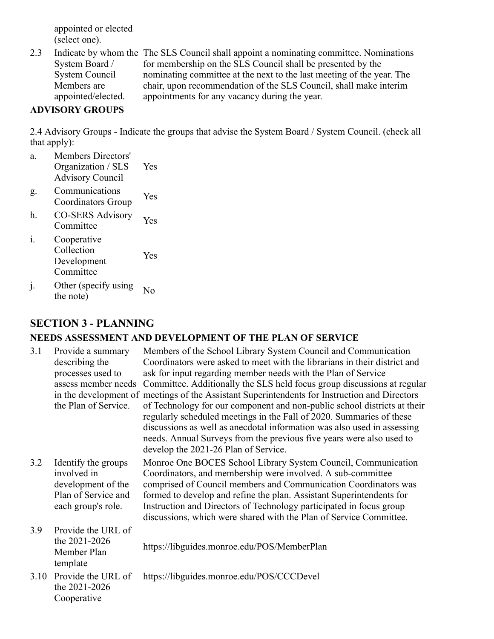appointed or elected (select one).

2.3 Indicate by whom the The SLS Council shall appoint a nominating committee. Nominations System Board / System Council Members are appointed/elected. for membership on the SLS Council shall be presented by the nominating committee at the next to the last meeting of the year. The chair, upon recommendation of the SLS Council, shall make interim appointments for any vacancy during the year.

# **ADVISORY GROUPS**

2.4 Advisory Groups - Indicate the groups that advise the System Board / System Council. (check all that apply):

- a. Members Directors' Organization / SLS Advisory Council Yes
- g. Communications Coordinators Group Yes
- h. CO-SERS Advisory Committee Yes
- i. Cooperative Collection Development Committee Yes
- j. Other (specify using No the note)

# **SECTION 3 - PLANNING**

### **NEEDS ASSESSMENT AND DEVELOPMENT OF THE PLAN OF SERVICE**

| 3.1 | Provide a summary<br>describing the<br>processes used to<br>the Plan of Service.                      | Members of the School Library System Council and Communication<br>Coordinators were asked to meet with the librarians in their district and<br>ask for input regarding member needs with the Plan of Service<br>assess member needs Committee. Additionally the SLS held focus group discussions at regular<br>in the development of meetings of the Assistant Superintendents for Instruction and Directors<br>of Technology for our component and non-public school districts at their<br>regularly scheduled meetings in the Fall of 2020. Summaries of these<br>discussions as well as anecdotal information was also used in assessing<br>needs. Annual Surveys from the previous five years were also used to<br>develop the 2021-26 Plan of Service. |
|-----|-------------------------------------------------------------------------------------------------------|-------------------------------------------------------------------------------------------------------------------------------------------------------------------------------------------------------------------------------------------------------------------------------------------------------------------------------------------------------------------------------------------------------------------------------------------------------------------------------------------------------------------------------------------------------------------------------------------------------------------------------------------------------------------------------------------------------------------------------------------------------------|
| 3.2 | Identify the groups<br>involved in<br>development of the<br>Plan of Service and<br>each group's role. | Monroe One BOCES School Library System Council, Communication<br>Coordinators, and membership were involved. A sub-committee<br>comprised of Council members and Communication Coordinators was<br>formed to develop and refine the plan. Assistant Superintendents for<br>Instruction and Directors of Technology participated in focus group<br>discussions, which were shared with the Plan of Service Committee.                                                                                                                                                                                                                                                                                                                                        |
| 3.9 | Provide the URL of<br>the 2021-2026<br>Member Plan<br>template                                        | https://libguides.monroe.edu/POS/MemberPlan                                                                                                                                                                                                                                                                                                                                                                                                                                                                                                                                                                                                                                                                                                                 |
|     |                                                                                                       | 2.10 $\sum_{i=1}^{n}$ $\sum_{i=1}^{n}$ $\sum_{i=1}^{n}$ $\sum_{i=1}^{n}$ $\sum_{i=1}^{n}$ $\sum_{i=1}^{n}$ $\sum_{i=1}^{n}$ $\sum_{i=1}^{n}$ $\sum_{i=1}^{n}$ $\sum_{i=1}^{n}$ $\sum_{i=1}^{n}$ $\sum_{i=1}^{n}$ $\sum_{i=1}^{n}$ $\sum_{i=1}^{n}$ $\sum_{i=1}^{n}$ $\sum_{i=1}^{n}$ $\sum_{i=1}$                                                                                                                                                                                                                                                                                                                                                                                                                                                           |

3.10 Provide the URL of the 2021-2026 Cooperative

https://libguides.monroe.edu/POS/CCCDevel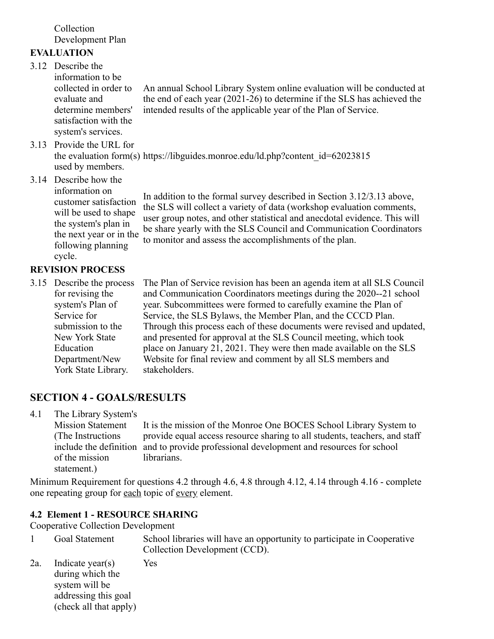### Collection Development Plan

# **EVALUATION**

- 3.12 Describe the
	- information to be collected in order to evaluate and determine members' satisfaction with the system's services.

An annual School Library System online evaluation will be conducted at the end of each year (2021-26) to determine if the SLS has achieved the intended results of the applicable year of the Plan of Service.

3.13 Provide the URL for the evaluation form(s) https://libguides.monroe.edu/ld.php?content\_id=62023815 used by members.

3.14 Describe how the

information on customer satisfaction will be used to shape the system's plan in the next year or in the following planning cycle.

In addition to the formal survey described in Section 3.12/3.13 above, the SLS will collect a variety of data (workshop evaluation comments, user group notes, and other statistical and anecdotal evidence. This will be share yearly with the SLS Council and Communication Coordinators to monitor and assess the accomplishments of the plan.

**REVISION PROCESS**

3.15 Describe the process for revising the system's Plan of Service for submission to the New York State Education Department/New York State Library.

The Plan of Service revision has been an agenda item at all SLS Council and Communication Coordinators meetings during the 2020--21 school year. Subcommittees were formed to carefully examine the Plan of Service, the SLS Bylaws, the Member Plan, and the CCCD Plan. Through this process each of these documents were revised and updated, and presented for approval at the SLS Council meeting, which took place on January 21, 2021. They were then made available on the SLS Website for final review and comment by all SLS members and stakeholders.

# **SECTION 4 - GOALS/RESULTS**

4.1 The Library System's

of the mission statement.)

Mission Statement (The Instructions include the definition and to provide professional development and resources for school It is the mission of the Monroe One BOCES School Library System to provide equal access resource sharing to all students, teachers, and staff librarians.

Minimum Requirement for questions 4.2 through 4.6, 4.8 through 4.12, 4.14 through 4.16 - complete one repeating group for each topic of every element.

# **4.2 Element 1 - RESOURCE SHARING**

Cooperative Collection Development

- 1 Goal Statement School libraries will have an opportunity to participate in Cooperative Collection Development (CCD).
- 2a. Indicate year(s) during which the system will be addressing this goal (check all that apply) Yes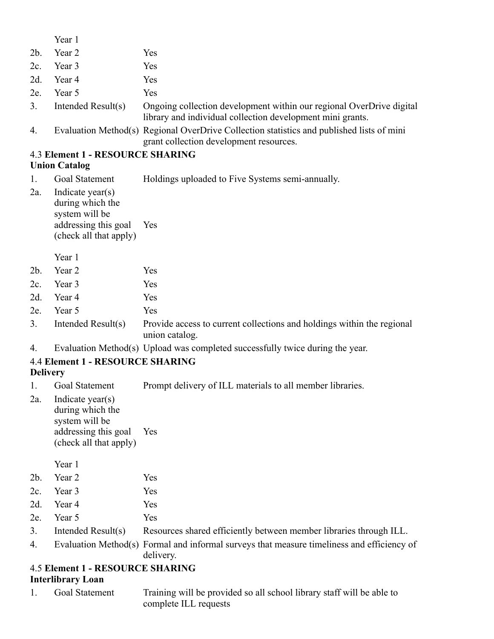|                 | Year 1                                                                                                     |                                                                                                                                      |
|-----------------|------------------------------------------------------------------------------------------------------------|--------------------------------------------------------------------------------------------------------------------------------------|
| $2b$ .          | Year 2                                                                                                     | Yes                                                                                                                                  |
| 2c.             | Year 3                                                                                                     | Yes                                                                                                                                  |
| 2d.             | Year 4                                                                                                     | Yes                                                                                                                                  |
| 2e.             | Year 5                                                                                                     | Yes                                                                                                                                  |
| 3.              | Intended Result(s)                                                                                         | Ongoing collection development within our regional OverDrive digital<br>library and individual collection development mini grants.   |
| 4.              |                                                                                                            | Evaluation Method(s) Regional OverDrive Collection statistics and published lists of mini<br>grant collection development resources. |
|                 | <b>4.3 Element 1 - RESOURCE SHARING</b>                                                                    |                                                                                                                                      |
|                 | <b>Union Catalog</b>                                                                                       |                                                                                                                                      |
| 1.              | <b>Goal Statement</b>                                                                                      | Holdings uploaded to Five Systems semi-annually.                                                                                     |
| 2a.             | Indicate $year(s)$<br>during which the<br>system will be<br>addressing this goal<br>(check all that apply) | Yes                                                                                                                                  |
|                 | Year 1                                                                                                     |                                                                                                                                      |
| $2b$ .          | Year 2                                                                                                     | Yes                                                                                                                                  |
| 2c.             | Year 3                                                                                                     | Yes                                                                                                                                  |
| 2d.             | Year 4                                                                                                     | Yes                                                                                                                                  |
| 2e.             | Year 5                                                                                                     | Yes                                                                                                                                  |
| 3.              | Intended Result(s)                                                                                         | Provide access to current collections and holdings within the regional<br>union catalog.                                             |
| 4.              |                                                                                                            | Evaluation Method(s) Upload was completed successfully twice during the year.                                                        |
|                 | <b>4.4 Element 1 - RESOURCE SHARING</b>                                                                    |                                                                                                                                      |
| <b>Delivery</b> |                                                                                                            |                                                                                                                                      |
| 1.              | <b>Goal Statement</b>                                                                                      | Prompt delivery of ILL materials to all member libraries.                                                                            |
| 2a.             | Indicate $year(s)$<br>during which the<br>system will be<br>addressing this goal<br>(check all that apply) | Yes                                                                                                                                  |
|                 | Year 1                                                                                                     |                                                                                                                                      |
| $2b$ .          | Year 2                                                                                                     | Yes                                                                                                                                  |
| 2c.             | Year 3                                                                                                     | Yes                                                                                                                                  |
| 2d.             | Year 4                                                                                                     | Yes                                                                                                                                  |
| 2e.             | Year 5                                                                                                     | Yes                                                                                                                                  |
| 3.              | Intended Result(s)                                                                                         | Resources shared efficiently between member libraries through ILL.                                                                   |
| 4.              |                                                                                                            | Evaluation Method(s) Formal and informal surveys that measure timeliness and efficiency of<br>delivery.                              |
|                 | <b>4.5 Element 1 - RESOURCE SHARING</b><br><b>Interlibrary Loan</b>                                        |                                                                                                                                      |

| Goal Statement | Training will be provided so all school library staff will be able to |
|----------------|-----------------------------------------------------------------------|
|                | complete ILL requests                                                 |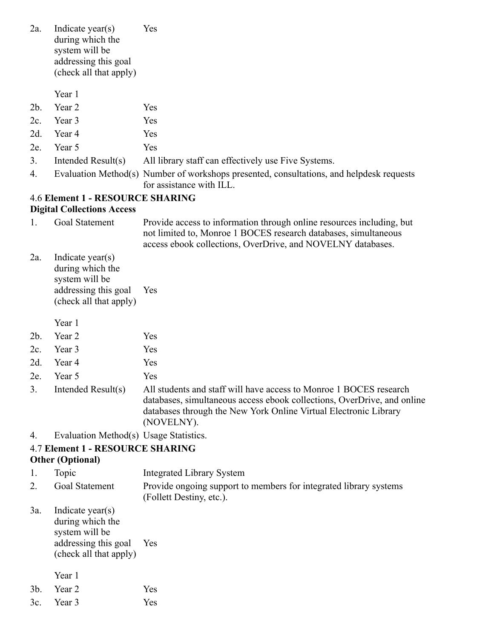| 2a.    | Indicate $year(s)$<br>during which the<br>system will be<br>addressing this goal | Yes                                                                                                                                                                                                                             |
|--------|----------------------------------------------------------------------------------|---------------------------------------------------------------------------------------------------------------------------------------------------------------------------------------------------------------------------------|
|        | (check all that apply)                                                           |                                                                                                                                                                                                                                 |
|        | Year 1                                                                           |                                                                                                                                                                                                                                 |
| $2b$ . | Year 2                                                                           | Yes                                                                                                                                                                                                                             |
| 2c.    | Year 3                                                                           | Yes                                                                                                                                                                                                                             |
| 2d.    | Year 4                                                                           | Yes                                                                                                                                                                                                                             |
| 2e.    | Year 5                                                                           | Yes                                                                                                                                                                                                                             |
| 3.     | Intended Result(s)                                                               | All library staff can effectively use Five Systems.                                                                                                                                                                             |
| 4.     | Evaluation Method(s)                                                             | Number of workshops presented, consultations, and helpdesk requests<br>for assistance with ILL.                                                                                                                                 |
|        | <b>4.6 Element 1 - RESOURCE SHARING</b>                                          |                                                                                                                                                                                                                                 |
|        | <b>Digital Collections Access</b>                                                |                                                                                                                                                                                                                                 |
| 1.     | Goal Statement                                                                   | Provide access to information through online resources including, but<br>not limited to, Monroe 1 BOCES research databases, simultaneous<br>access ebook collections, OverDrive, and NOVELNY databases.                         |
| 2a.    | Indicate $year(s)$<br>during which the<br>system will be<br>addressing this goal | Yes                                                                                                                                                                                                                             |
|        | (check all that apply)                                                           |                                                                                                                                                                                                                                 |
|        | Year 1                                                                           |                                                                                                                                                                                                                                 |
| $2b$ . | Year 2                                                                           | Yes                                                                                                                                                                                                                             |
| 2c.    | Year 3                                                                           | Yes                                                                                                                                                                                                                             |
| 2d.    | Year 4                                                                           | Yes                                                                                                                                                                                                                             |
| 2e.    | Year 5                                                                           | Yes                                                                                                                                                                                                                             |
| 3.     | Intended Result(s)                                                               | All students and staff will have access to Monroe 1 BOCES research<br>databases, simultaneous access ebook collections, OverDrive, and online<br>databases through the New York Online Virtual Electronic Library<br>(NOVELNY). |
| 4.     | Evaluation Method(s) Usage Statistics.                                           |                                                                                                                                                                                                                                 |
|        | <b>4.7 Element 1 - RESOURCE SHARING</b><br><b>Other (Optional)</b>               |                                                                                                                                                                                                                                 |
| 1.     | Topic                                                                            | <b>Integrated Library System</b>                                                                                                                                                                                                |
| 2.     | <b>Goal Statement</b>                                                            | Provide ongoing support to members for integrated library systems<br>(Follett Destiny, etc.).                                                                                                                                   |
| 3a.    | Indicate year(s)<br>during which the<br>system will be<br>addressing this goal   | Yes                                                                                                                                                                                                                             |
|        | (check all that apply)                                                           |                                                                                                                                                                                                                                 |
|        | Year 1                                                                           |                                                                                                                                                                                                                                 |
| $3b$ . | Year 2                                                                           | Yes                                                                                                                                                                                                                             |
| 3c.    | Year 3                                                                           | Yes                                                                                                                                                                                                                             |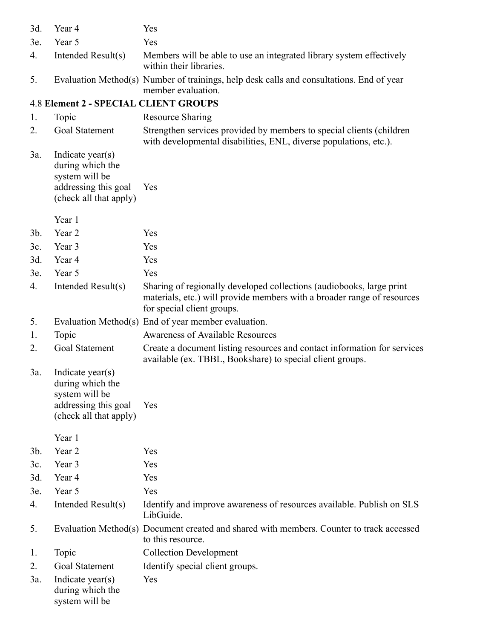| 3d.    | Year 4                                                                                                   | Yes                                                                                                                                                                           |
|--------|----------------------------------------------------------------------------------------------------------|-------------------------------------------------------------------------------------------------------------------------------------------------------------------------------|
| 3e.    | Year 5                                                                                                   | Yes                                                                                                                                                                           |
| 4.     | Intended Result(s)                                                                                       | Members will be able to use an integrated library system effectively<br>within their libraries.                                                                               |
| 5.     |                                                                                                          | Evaluation Method(s) Number of trainings, help desk calls and consultations. End of year<br>member evaluation.                                                                |
|        | <b>4.8 Element 2 - SPECIAL CLIENT GROUPS</b>                                                             |                                                                                                                                                                               |
| 1.     | Topic                                                                                                    | <b>Resource Sharing</b>                                                                                                                                                       |
| 2.     | Goal Statement                                                                                           | Strengthen services provided by members to special clients (children)<br>with developmental disabilities, ENL, diverse populations, etc.).                                    |
| 3a.    | Indicate $year(s)$<br>during which the<br>system will be<br>addressing this goal                         | Yes                                                                                                                                                                           |
|        | (check all that apply)                                                                                   |                                                                                                                                                                               |
|        | Year 1                                                                                                   |                                                                                                                                                                               |
| $3b$ . | Year 2                                                                                                   | Yes                                                                                                                                                                           |
| 3c.    | Year 3                                                                                                   | Yes                                                                                                                                                                           |
| 3d.    | Year 4                                                                                                   | Yes                                                                                                                                                                           |
| 3e.    | Year 5                                                                                                   | Yes                                                                                                                                                                           |
| 4.     | Intended Result(s)                                                                                       | Sharing of regionally developed collections (audiobooks, large print<br>materials, etc.) will provide members with a broader range of resources<br>for special client groups. |
| 5.     |                                                                                                          | Evaluation Method(s) End of year member evaluation.                                                                                                                           |
| 1.     | Topic                                                                                                    | Awareness of Available Resources                                                                                                                                              |
| 2.     | Goal Statement                                                                                           | Create a document listing resources and contact information for services<br>available (ex. TBBL, Bookshare) to special client groups.                                         |
| 3a.    | Indicate year(s)<br>during which the<br>system will be<br>addressing this goal<br>(check all that apply) | Yes                                                                                                                                                                           |
|        | Year 1                                                                                                   |                                                                                                                                                                               |
| $3b$ . | Year 2                                                                                                   | Yes                                                                                                                                                                           |
| 3c.    | Year 3                                                                                                   | Yes                                                                                                                                                                           |
| 3d.    | Year 4                                                                                                   | Yes                                                                                                                                                                           |
| 3e.    | Year 5                                                                                                   | Yes                                                                                                                                                                           |
| 4.     | Intended Result(s)                                                                                       | Identify and improve awareness of resources available. Publish on SLS<br>LibGuide.                                                                                            |
| 5.     |                                                                                                          | Evaluation Method(s) Document created and shared with members. Counter to track accessed<br>to this resource.                                                                 |
| 1.     | Topic                                                                                                    | <b>Collection Development</b>                                                                                                                                                 |
| 2.     | <b>Goal Statement</b>                                                                                    | Identify special client groups.                                                                                                                                               |
| 3a.    | Indicate year(s)<br>during which the<br>system will be                                                   | Yes                                                                                                                                                                           |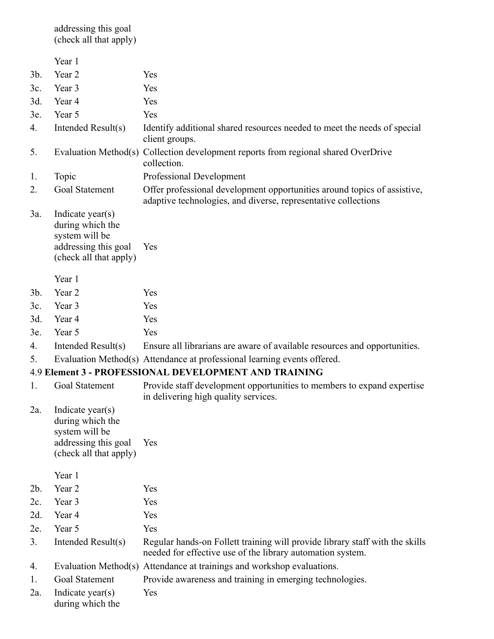addressing this goal (check all that apply)

|        | Year 1                                                                                                     |                                                                                                                                            |
|--------|------------------------------------------------------------------------------------------------------------|--------------------------------------------------------------------------------------------------------------------------------------------|
| $3b$ . | Year 2                                                                                                     | Yes                                                                                                                                        |
| 3c.    | Year 3                                                                                                     | Yes                                                                                                                                        |
| 3d.    | Year 4                                                                                                     | Yes                                                                                                                                        |
| 3e.    | Year 5                                                                                                     | Yes                                                                                                                                        |
| 4.     | Intended Result(s)                                                                                         | Identify additional shared resources needed to meet the needs of special<br>client groups.                                                 |
| 5.     |                                                                                                            | Evaluation Method(s) Collection development reports from regional shared OverDrive<br>collection.                                          |
| 1.     | Topic                                                                                                      | <b>Professional Development</b>                                                                                                            |
| 2.     | Goal Statement                                                                                             | Offer professional development opportunities around topics of assistive,<br>adaptive technologies, and diverse, representative collections |
| 3a.    | Indicate $year(s)$<br>during which the<br>system will be<br>addressing this goal<br>(check all that apply) | Yes                                                                                                                                        |
|        | Year 1                                                                                                     |                                                                                                                                            |
| $3b$ . | Year 2                                                                                                     | Yes                                                                                                                                        |
| 3c.    | Year 3                                                                                                     | Yes                                                                                                                                        |
| 3d.    | Year 4                                                                                                     | Yes                                                                                                                                        |
| 3e.    | Year 5                                                                                                     | Yes                                                                                                                                        |
| 4.     | Intended Result(s)                                                                                         | Ensure all librarians are aware of available resources and opportunities.                                                                  |
| 5.     |                                                                                                            | Evaluation Method(s) Attendance at professional learning events offered.                                                                   |
|        |                                                                                                            | <b>4.9 Element 3 - PROFESSIONAL DEVELOPMENT AND TRAINING</b>                                                                               |
| 1.     | Goal Statement                                                                                             | Provide staff development opportunities to members to expand expertise<br>in delivering high quality services.                             |
| 2a.    | Indicate year(s)<br>during which the<br>system will be<br>addressing this goal<br>(check all that apply)   | Yes                                                                                                                                        |
|        | Year 1                                                                                                     |                                                                                                                                            |
| 2b.    | Year 2                                                                                                     | Yes                                                                                                                                        |
| 2c.    | Year 3                                                                                                     | Yes                                                                                                                                        |
| 2d.    | Year 4                                                                                                     | Yes                                                                                                                                        |
| 2e.    | Year 5                                                                                                     | Yes                                                                                                                                        |
| 3.     | Intended Result(s)                                                                                         | Regular hands-on Follett training will provide library staff with the skills<br>needed for effective use of the library automation system. |
| 4.     |                                                                                                            | Evaluation Method(s) Attendance at trainings and workshop evaluations.                                                                     |
| 1.     | <b>Goal Statement</b>                                                                                      | Provide awareness and training in emerging technologies.                                                                                   |
| 2a.    | Indicate year(s)                                                                                           | Yes                                                                                                                                        |

2a. Indicate year(s) during which the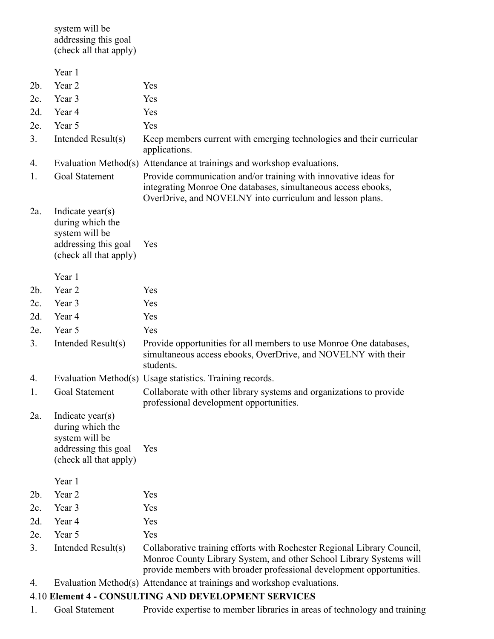system will be addressing this goal (check all that apply)

Year 1 2b. Year 2 Yes 2c. Year 3 Yes 2d. Year 4 Yes 2e. Year 5 Yes 3. Intended Result(s) Keep members current with emerging technologies and their curricular applications. 4. Evaluation Method(s) Attendance at trainings and workshop evaluations. 1. Goal Statement Provide communication and/or training with innovative ideas for integrating Monroe One databases, simultaneous access ebooks, OverDrive, and NOVELNY into curriculum and lesson plans. 2a. Indicate year(s) during which the system will be addressing this goal (check all that apply) Year 1 Yes 2b. Year 2 Yes 2c. Year 3 Yes 2d. Year 4 Yes

2e. Year 5 Yes 3. Intended Result(s) Provide opportunities for all members to use Monroe One databases, simultaneous access ebooks, OverDrive, and NOVELNY with their students.

4. Evaluation Method(s) Usage statistics. Training records.

1. Goal Statement Collaborate with other library systems and organizations to provide professional development opportunities.

2a. Indicate year(s) during which the system will be addressing this goal (check all that apply) Yes

#### Year 1

- 2b. Year 2 Yes 2c. Year 3 Yes
- 2d. Year 4 Yes
- 2e. Year 5 Yes
- 3. Intended Result(s) Collaborative training efforts with Rochester Regional Library Council, Monroe County Library System, and other School Library Systems will provide members with broader professional development opportunities.
- 4. Evaluation Method(s) Attendance at trainings and workshop evaluations.

### 4.10 **Element 4 - CONSULTING AND DEVELOPMENT SERVICES**

1. Goal Statement Provide expertise to member libraries in areas of technology and training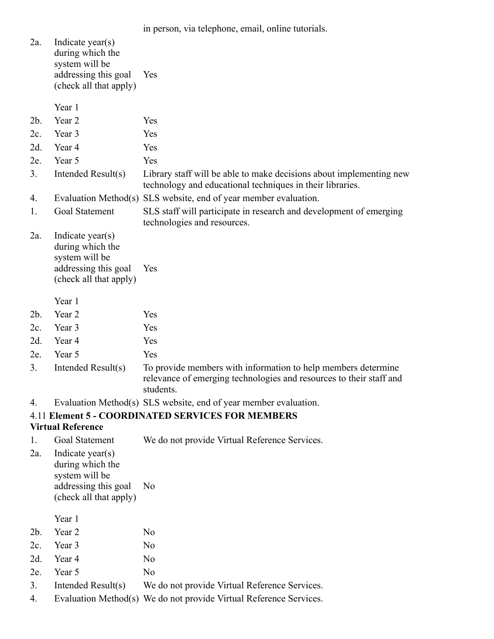in person, via telephone, email, online tutorials.

| 2a.    | Indicate $year(s)$<br>during which the<br>system will be<br>addressing this goal<br>(check all that apply) | Yes                                                                                                                                               |
|--------|------------------------------------------------------------------------------------------------------------|---------------------------------------------------------------------------------------------------------------------------------------------------|
|        | Year 1                                                                                                     |                                                                                                                                                   |
| $2b$ . | Year 2                                                                                                     | Yes                                                                                                                                               |
| 2c.    | Year 3                                                                                                     | Yes                                                                                                                                               |
| 2d.    | Year 4                                                                                                     | Yes                                                                                                                                               |
| 2e.    | Year 5                                                                                                     | Yes                                                                                                                                               |
| 3.     | Intended Result(s)                                                                                         | Library staff will be able to make decisions about implementing new<br>technology and educational techniques in their libraries.                  |
| 4.     | Evaluation Method(s)                                                                                       | SLS website, end of year member evaluation.                                                                                                       |
| 1.     | <b>Goal Statement</b>                                                                                      | SLS staff will participate in research and development of emerging<br>technologies and resources.                                                 |
| 2a.    | Indicate year(s)<br>during which the<br>system will be<br>addressing this goal<br>(check all that apply)   | Yes                                                                                                                                               |
|        | Year 1                                                                                                     |                                                                                                                                                   |
| $2b$ . | Year 2                                                                                                     | Yes                                                                                                                                               |
| 2c.    | Year 3                                                                                                     | Yes                                                                                                                                               |
| 2d.    | Year 4                                                                                                     | Yes                                                                                                                                               |
| 2e.    | Year 5                                                                                                     | Yes                                                                                                                                               |
| 3.     | Intended Result(s)                                                                                         | To provide members with information to help members determine<br>relevance of emerging technologies and resources to their staff and<br>students. |
| 4.     |                                                                                                            | Evaluation Method(s) SLS website, end of year member evaluation.                                                                                  |
|        | <b>Virtual Reference</b>                                                                                   | <b>4.11 Element 5 - COORDINATED SERVICES FOR MEMBERS</b>                                                                                          |
| 1.     | Goal Statement                                                                                             | We do not provide Virtual Reference Services.                                                                                                     |
| 2a.    | Indicate year(s)<br>during which the<br>system will be<br>addressing this goal<br>(check all that apply)   | No                                                                                                                                                |
|        | Year 1                                                                                                     |                                                                                                                                                   |
| $2b$ . | Year 2                                                                                                     | No                                                                                                                                                |
| 2c.    | Year 3                                                                                                     | No                                                                                                                                                |
| 2d.    | Year 4                                                                                                     | No                                                                                                                                                |
| 2e.    | Year 5                                                                                                     | No                                                                                                                                                |
| 3.     | Intended Result(s)                                                                                         | We do not provide Virtual Reference Services.                                                                                                     |
| 4.     | Evaluation Method(s)                                                                                       | We do not provide Virtual Reference Services.                                                                                                     |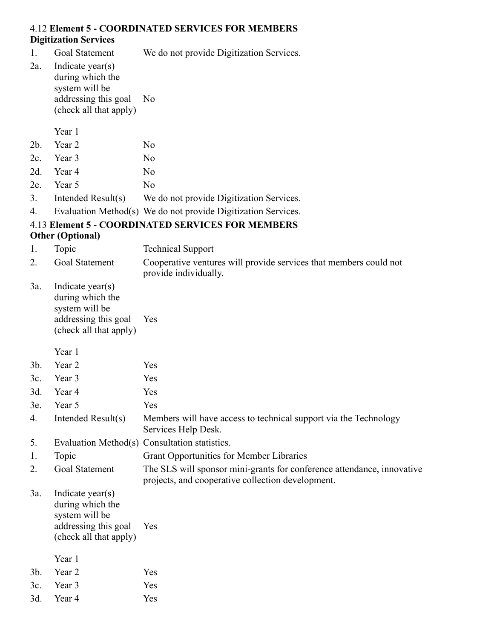### 4.12 **Element 5 - COORDINATED SERVICES FOR MEMBERS Digitization Services**

- 1. Goal Statement We do not provide Digitization Services.
- 2a. Indicate year(s) during which the system will be addressing this goal (check all that apply) No

Year 1

| 2b. Year 2              | N <sub>0</sub>                           |
|-------------------------|------------------------------------------|
| 2c. Year 3              | N <sub>0</sub>                           |
| 2d. Year 4              | N <sub>0</sub>                           |
| 2e. Year 5              | N <sub>0</sub>                           |
| 3. Intended $Result(s)$ | We do not provide Digitization Services. |

4. Evaluation Method(s) We do not provide Digitization Services.

# 4.13 **Element 5 - COORDINATED SERVICES FOR MEMBERS**

# **Other (Optional)**

- 1. Topic Technical Support
- 2. Goal Statement Cooperative ventures will provide services that members could not provide individually.
- 3a. Indicate year(s) during which the system will be addressing this goal (check all that apply) Yes

### Year 1

| $3b$ . | Year 2                                                                                                   | Yes                                                                                                                         |
|--------|----------------------------------------------------------------------------------------------------------|-----------------------------------------------------------------------------------------------------------------------------|
| 3c.    | Year 3                                                                                                   | Yes                                                                                                                         |
| 3d.    | Year 4                                                                                                   | Yes                                                                                                                         |
| 3e.    | Year 5                                                                                                   | Yes                                                                                                                         |
| 4.     | Intended Result(s)                                                                                       | Members will have access to technical support via the Technology<br>Services Help Desk.                                     |
| 5.     |                                                                                                          | Evaluation Method(s) Consultation statistics.                                                                               |
| 1.     | Topic                                                                                                    | <b>Grant Opportunities for Member Libraries</b>                                                                             |
| 2.     | <b>Goal Statement</b>                                                                                    | The SLS will sponsor mini-grants for conference attendance, innovative<br>projects, and cooperative collection development. |
| 3a.    | Indicate year(s)<br>during which the<br>system will be<br>addressing this goal<br>(check all that apply) | Yes                                                                                                                         |
|        | Year 1                                                                                                   |                                                                                                                             |
| $3b$ . | Year 2                                                                                                   | Yes                                                                                                                         |
| 3c.    | Year 3                                                                                                   | Yes                                                                                                                         |
| 3d.    | Year 4                                                                                                   | Yes                                                                                                                         |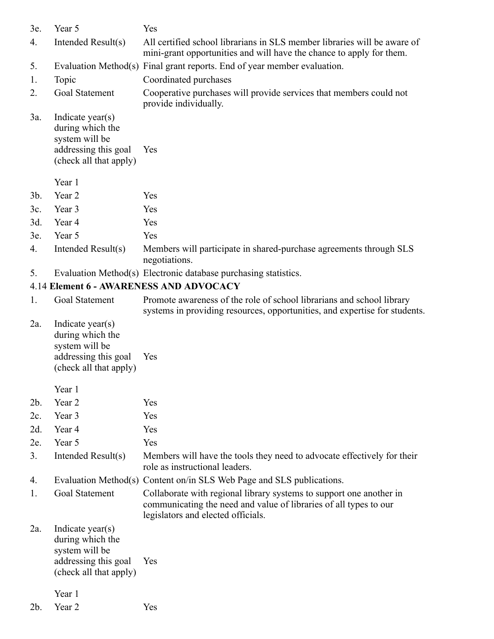| 3e.    | Year 5                                                                                                     | Yes                                                                                                                                                                            |
|--------|------------------------------------------------------------------------------------------------------------|--------------------------------------------------------------------------------------------------------------------------------------------------------------------------------|
| 4.     | Intended Result(s)                                                                                         | All certified school librarians in SLS member libraries will be aware of<br>mini-grant opportunities and will have the chance to apply for them.                               |
| 5.     |                                                                                                            | Evaluation Method(s) Final grant reports. End of year member evaluation.                                                                                                       |
| 1.     | Topic                                                                                                      | Coordinated purchases                                                                                                                                                          |
| 2.     | <b>Goal Statement</b>                                                                                      | Cooperative purchases will provide services that members could not<br>provide individually.                                                                                    |
| 3a.    | Indicate $year(s)$<br>during which the<br>system will be<br>addressing this goal<br>(check all that apply) | Yes                                                                                                                                                                            |
|        | Year 1                                                                                                     |                                                                                                                                                                                |
| $3b$ . | Year 2                                                                                                     | Yes                                                                                                                                                                            |
| 3c.    | Year 3                                                                                                     | Yes                                                                                                                                                                            |
| 3d.    | Year 4                                                                                                     | Yes                                                                                                                                                                            |
| 3e.    | Year 5                                                                                                     | Yes                                                                                                                                                                            |
| 4.     | Intended Result(s)                                                                                         | Members will participate in shared-purchase agreements through SLS<br>negotiations.                                                                                            |
| 5.     |                                                                                                            | Evaluation Method(s) Electronic database purchasing statistics.                                                                                                                |
|        |                                                                                                            | 4.14 Element 6 - AWARENESS AND ADVOCACY                                                                                                                                        |
| 1.     | Goal Statement                                                                                             | Promote awareness of the role of school librarians and school library<br>systems in providing resources, opportunities, and expertise for students.                            |
| 2a.    | Indicate year(s)<br>during which the<br>system will be<br>addressing this goal<br>(check all that apply)   | Yes                                                                                                                                                                            |
|        | Year 1                                                                                                     |                                                                                                                                                                                |
| $2b$ . | Year 2                                                                                                     | Yes                                                                                                                                                                            |
| 2c.    | Year 3                                                                                                     | Yes                                                                                                                                                                            |
| 2d.    | Year 4                                                                                                     | Yes                                                                                                                                                                            |
| 2e.    | Year 5                                                                                                     | Yes                                                                                                                                                                            |
| 3.     | Intended Result(s)                                                                                         | Members will have the tools they need to advocate effectively for their<br>role as instructional leaders.                                                                      |
| 4.     |                                                                                                            | Evaluation Method(s) Content on/in SLS Web Page and SLS publications.                                                                                                          |
| 1.     | <b>Goal Statement</b>                                                                                      | Collaborate with regional library systems to support one another in<br>communicating the need and value of libraries of all types to our<br>legislators and elected officials. |
| 2a.    | Indicate $year(s)$<br>during which the<br>system will be<br>addressing this goal<br>(check all that apply) | Yes                                                                                                                                                                            |
|        | Year 1                                                                                                     |                                                                                                                                                                                |
| $2b$ . | Year 2                                                                                                     | Yes                                                                                                                                                                            |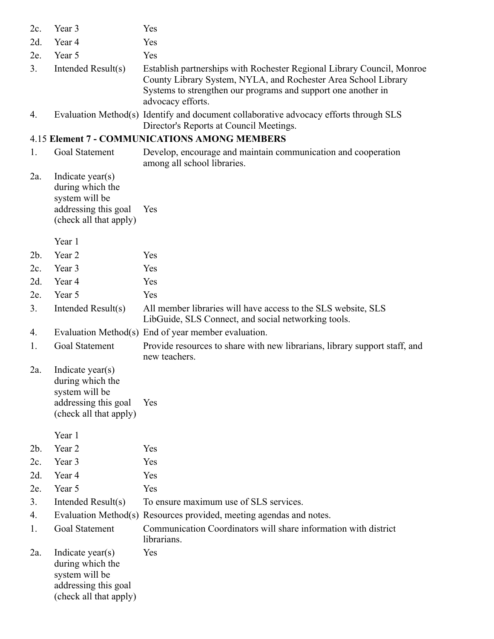| 2c.    | Year 3                                                                                                     | Yes                                                                                                                                                                                                                            |
|--------|------------------------------------------------------------------------------------------------------------|--------------------------------------------------------------------------------------------------------------------------------------------------------------------------------------------------------------------------------|
| 2d.    | Year 4                                                                                                     | Yes                                                                                                                                                                                                                            |
| 2e.    | Year 5                                                                                                     | Yes                                                                                                                                                                                                                            |
| 3.     | Intended Result(s)                                                                                         | Establish partnerships with Rochester Regional Library Council, Monroe<br>County Library System, NYLA, and Rochester Area School Library<br>Systems to strengthen our programs and support one another in<br>advocacy efforts. |
| 4.     |                                                                                                            | Evaluation Method(s) Identify and document collaborative advocacy efforts through SLS<br>Director's Reports at Council Meetings.                                                                                               |
|        |                                                                                                            | <b>4.15 Element 7 - COMMUNICATIONS AMONG MEMBERS</b>                                                                                                                                                                           |
| 1.     | Goal Statement                                                                                             | Develop, encourage and maintain communication and cooperation<br>among all school libraries.                                                                                                                                   |
| 2a.    | Indicate $year(s)$<br>during which the<br>system will be<br>addressing this goal<br>(check all that apply) | Yes                                                                                                                                                                                                                            |
|        | Year 1                                                                                                     |                                                                                                                                                                                                                                |
| $2b$ . | Year <sub>2</sub>                                                                                          | Yes                                                                                                                                                                                                                            |
| 2c.    | Year 3                                                                                                     | Yes                                                                                                                                                                                                                            |
| 2d.    | Year 4                                                                                                     | Yes                                                                                                                                                                                                                            |
| 2e.    | Year 5                                                                                                     | Yes                                                                                                                                                                                                                            |
| 3.     | Intended Result(s)                                                                                         | All member libraries will have access to the SLS website, SLS<br>LibGuide, SLS Connect, and social networking tools.                                                                                                           |
| 4.     |                                                                                                            | Evaluation Method(s) End of year member evaluation.                                                                                                                                                                            |
| 1.     | Goal Statement                                                                                             | Provide resources to share with new librarians, library support staff, and<br>new teachers.                                                                                                                                    |
| 2a.    | Indicate $year(s)$<br>during which the<br>system will be<br>addressing this goal<br>(check all that apply) | Yes                                                                                                                                                                                                                            |
|        | Year 1                                                                                                     |                                                                                                                                                                                                                                |
| $2b$ . | Year 2                                                                                                     | Yes                                                                                                                                                                                                                            |
| 2c.    | Year 3                                                                                                     | Yes                                                                                                                                                                                                                            |
| 2d.    | Year 4                                                                                                     | Yes                                                                                                                                                                                                                            |
| 2e.    | Year 5                                                                                                     | Yes                                                                                                                                                                                                                            |
| 3.     | Intended Result(s)                                                                                         | To ensure maximum use of SLS services.                                                                                                                                                                                         |
| 4.     |                                                                                                            | Evaluation Method(s) Resources provided, meeting agendas and notes.                                                                                                                                                            |
| 1.     | Goal Statement                                                                                             | Communication Coordinators will share information with district<br>librarians.                                                                                                                                                 |
| 2a.    | Indicate $year(s)$<br>during which the<br>system will be<br>addressing this goal<br>(check all that apply) | Yes                                                                                                                                                                                                                            |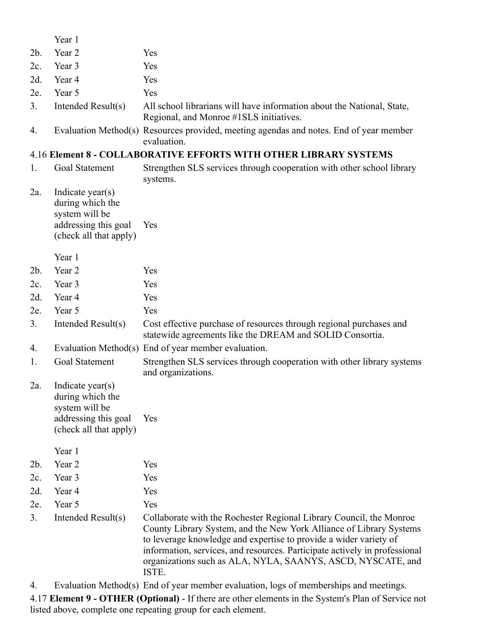|        | Year 1                                                                                                     |                                                                                                                                                                                                                                                                                                                                                                       |
|--------|------------------------------------------------------------------------------------------------------------|-----------------------------------------------------------------------------------------------------------------------------------------------------------------------------------------------------------------------------------------------------------------------------------------------------------------------------------------------------------------------|
| $2b$ . | Year 2                                                                                                     | Yes                                                                                                                                                                                                                                                                                                                                                                   |
| 2c.    | Year 3                                                                                                     | Yes                                                                                                                                                                                                                                                                                                                                                                   |
| 2d.    | Year 4                                                                                                     | Yes                                                                                                                                                                                                                                                                                                                                                                   |
| 2e.    | Year 5                                                                                                     | Yes                                                                                                                                                                                                                                                                                                                                                                   |
| 3.     | Intended Result(s)                                                                                         | All school librarians will have information about the National, State,<br>Regional, and Monroe #1SLS initiatives.                                                                                                                                                                                                                                                     |
| 4.     |                                                                                                            | Evaluation Method(s) Resources provided, meeting agendas and notes. End of year member<br>evaluation.                                                                                                                                                                                                                                                                 |
|        |                                                                                                            | 4.16 Element 8 - COLLABORATIVE EFFORTS WITH OTHER LIBRARY SYSTEMS                                                                                                                                                                                                                                                                                                     |
| 1.     | Goal Statement                                                                                             | Strengthen SLS services through cooperation with other school library<br>systems.                                                                                                                                                                                                                                                                                     |
| 2a.    | Indicate $year(s)$<br>during which the<br>system will be<br>addressing this goal<br>(check all that apply) | Yes                                                                                                                                                                                                                                                                                                                                                                   |
|        | Year 1                                                                                                     |                                                                                                                                                                                                                                                                                                                                                                       |
| $2b$ . | Year 2                                                                                                     | Yes                                                                                                                                                                                                                                                                                                                                                                   |
| 2c.    | Year 3                                                                                                     | Yes                                                                                                                                                                                                                                                                                                                                                                   |
| 2d.    | Year 4                                                                                                     | Yes                                                                                                                                                                                                                                                                                                                                                                   |
| 2e.    | Year 5                                                                                                     | Yes                                                                                                                                                                                                                                                                                                                                                                   |
| 3.     | Intended Result(s)                                                                                         | Cost effective purchase of resources through regional purchases and<br>statewide agreements like the DREAM and SOLID Consortia.                                                                                                                                                                                                                                       |
| 4.     | Evaluation Method(s)                                                                                       | End of year member evaluation.                                                                                                                                                                                                                                                                                                                                        |
| 1.     | Goal Statement                                                                                             | Strengthen SLS services through cooperation with other library systems<br>and organizations.                                                                                                                                                                                                                                                                          |
| 2a.    | Indicate $year(s)$<br>during which the<br>system will be<br>addressing this goal<br>(check all that apply) | Yes                                                                                                                                                                                                                                                                                                                                                                   |
|        | Year 1                                                                                                     |                                                                                                                                                                                                                                                                                                                                                                       |
| $2b$ . | Year 2                                                                                                     | Yes                                                                                                                                                                                                                                                                                                                                                                   |
| 2c.    | Year 3                                                                                                     | Yes                                                                                                                                                                                                                                                                                                                                                                   |
| 2d.    | Year 4                                                                                                     | Yes                                                                                                                                                                                                                                                                                                                                                                   |
| 2e.    | Year 5                                                                                                     | Yes                                                                                                                                                                                                                                                                                                                                                                   |
| 3.     | Intended Result(s)                                                                                         | Collaborate with the Rochester Regional Library Council, the Monroe<br>County Library System, and the New York Alliance of Library Systems<br>to leverage knowledge and expertise to provide a wider variety of<br>information, services, and resources. Participate actively in professional<br>organizations such as ALA, NYLA, SAANYS, ASCD, NYSCATE, and<br>ISTE. |
| 4.     |                                                                                                            | Evaluation Method(s) End of year member evaluation, logs of memberships and meetings.                                                                                                                                                                                                                                                                                 |

4.17 **Element 9 - OTHER (Optional)** - If there are other elements in the System's Plan of Service not listed above, complete one repeating group for each element.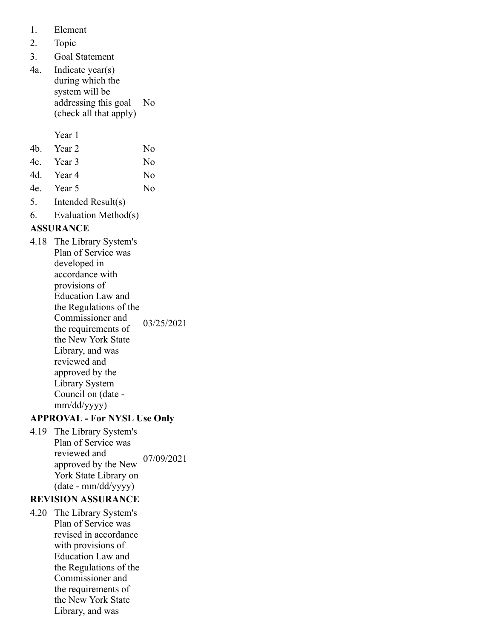- 1. Element
- 2. Topic
- 3. Goal Statement
- 4a. Indicate year(s) during which the system will be addressing this goal (check all that apply) No
	- Year 1

| 4b. Year 2 | N <sub>0</sub> |
|------------|----------------|
| 4c. Year 3 | N <sub>0</sub> |
| 4d. Year 4 | No             |
| 4e. Year 5 | No             |

- 5. Intended Result(s)
- 6. Evaluation Method(s)

### **ASSURANCE**

4.18 The Library System's Plan of Service was developed in accordance with provisions of Education Law and the Regulations of the Commissioner and the requirements of the New York State Library, and was reviewed and approved by the Library System Council on (date mm/dd/yyyy) 03/25/2021

### **APPROVAL - For NYSL Use Only**

4.19 The Library System's Plan of Service was reviewed and approved by the New York State Library on (date - mm/dd/yyyy) 07/09/2021

### **REVISION ASSURANCE**

4.20 The Library System's Plan of Service was revised in accordance with provisions of Education Law and the Regulations of the Commissioner and the requirements of the New York State Library, and was